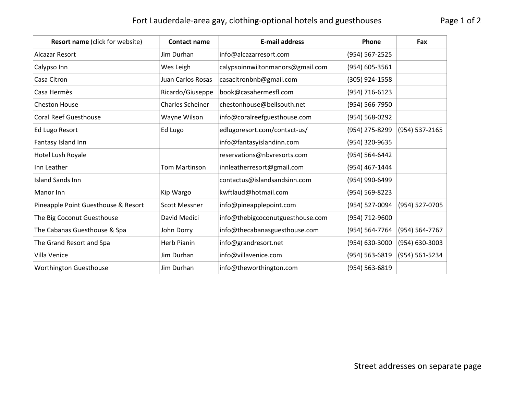## Fort Lauderdale-area gay, clothing-optional hotels and guesthouses Page 1 of 2

| <b>Resort name (click for website)</b> | <b>Contact name</b>     | <b>E-mail address</b>            | Phone          | Fax            |
|----------------------------------------|-------------------------|----------------------------------|----------------|----------------|
| Alcazar Resort                         | Jim Durhan              | info@alcazarresort.com           | (954) 567-2525 |                |
| Calypso Inn                            | Wes Leigh               | calypsoinnwiltonmanors@gmail.com | (954) 605-3561 |                |
| Casa Citron                            | Juan Carlos Rosas       | casacitronbnb@gmail.com          | (305) 924-1558 |                |
| Casa Hermès                            | Ricardo/Giuseppe        | book@casahermesfl.com            | (954) 716-6123 |                |
| <b>Cheston House</b>                   | <b>Charles Scheiner</b> | chestonhouse@bellsouth.net       | (954) 566-7950 |                |
| <b>Coral Reef Guesthouse</b>           | Wayne Wilson            | info@coralreefguesthouse.com     | (954) 568-0292 |                |
| Ed Lugo Resort                         | Ed Lugo                 | edlugoresort.com/contact-us/     | (954) 275-8299 | (954) 537-2165 |
| Fantasy Island Inn                     |                         | info@fantasyislandinn.com        | (954) 320-9635 |                |
| Hotel Lush Royale                      |                         | reservations@nbvresorts.com      | (954) 564-6442 |                |
| Inn Leather                            | Tom Martinson           | innleatherresort@gmail.com       | (954) 467-1444 |                |
| <b>Island Sands Inn</b>                |                         | contactus@islandsandsinn.com     | (954) 990-6499 |                |
| Manor Inn                              | Kip Wargo               | kwftlaud@hotmail.com             | (954) 569-8223 |                |
| Pineapple Point Guesthouse & Resort    | <b>Scott Messner</b>    | info@pineapplepoint.com          | (954) 527-0094 | (954) 527-0705 |
| The Big Coconut Guesthouse             | David Medici            | info@thebigcoconutguesthouse.com | (954) 712-9600 |                |
| The Cabanas Guesthouse & Spa           | John Dorry              | info@thecabanasguesthouse.com    | (954) 564-7764 | (954) 564-7767 |
| The Grand Resort and Spa               | Herb Pianin             | info@grandresort.net             | (954) 630-3000 | (954) 630-3003 |
| Villa Venice                           | Jim Durhan              | info@villavenice.com             | (954) 563-6819 | (954) 561-5234 |
| <b>Worthington Guesthouse</b>          | Jim Durhan              | info@theworthington.com          | (954) 563-6819 |                |